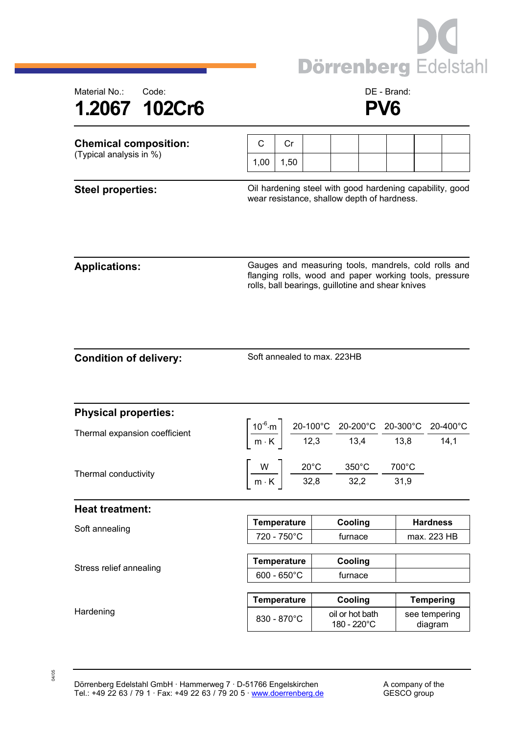



| Steel properties:            |      |     |  |  | Oil hardening steel with good hardening capability, good |  |
|------------------------------|------|-----|--|--|----------------------------------------------------------|--|
| (Typical analysis in %)      | 1.00 | .50 |  |  |                                                          |  |
| <b>Chemical composition:</b> |      | Cr  |  |  |                                                          |  |

wear resistance, shallow depth of hardness.

04/05

Applications: **Applications:** Gauges and measuring tools, mandrels, cold rolls and flanging rolls, wood and paper working tools, pressure rolls, ball bearings, guillotine and shear knives

| <b>Condition of delivery:</b> |  |  |
|-------------------------------|--|--|
|                               |  |  |

Soft annealed to max. 223HB

| <b>Physical properties:</b>   |                       |  |                                                                                                          |                  |                                                                                                                                                                                                                                              |  |
|-------------------------------|-----------------------|--|----------------------------------------------------------------------------------------------------------|------------------|----------------------------------------------------------------------------------------------------------------------------------------------------------------------------------------------------------------------------------------------|--|
| Thermal expansion coefficient |                       |  |                                                                                                          |                  | $\left[\frac{10^{-6} \text{ m}}{\text{m} \cdot \text{K}}\right] \frac{\text{20-100}^{\circ}\text{C}}{12,3} \frac{\text{20-200}^{\circ}\text{C}}{13,4} \frac{\text{20-300}^{\circ}\text{C}}{13,8} \frac{\text{20-400}^{\circ}\text{C}}{14,1}$ |  |
|                               |                       |  |                                                                                                          |                  |                                                                                                                                                                                                                                              |  |
| Thermal conductivity          |                       |  | $\frac{W}{m \cdot K}$ $\frac{20^{\circ}C}{32,8}$ $\frac{350^{\circ}C}{32,2}$ $\frac{120^{\circ}C}{32,2}$ | $700^{\circ}$ C  |                                                                                                                                                                                                                                              |  |
|                               |                       |  |                                                                                                          | 31,9             |                                                                                                                                                                                                                                              |  |
| <b>Heat treatment:</b>        |                       |  |                                                                                                          |                  |                                                                                                                                                                                                                                              |  |
| Soft annealing                | <b>Temperature</b>    |  | Cooling                                                                                                  |                  | <b>Hardness</b>                                                                                                                                                                                                                              |  |
|                               | 720 - 750°C           |  | furnace                                                                                                  |                  | max. 223 HB                                                                                                                                                                                                                                  |  |
|                               |                       |  |                                                                                                          |                  |                                                                                                                                                                                                                                              |  |
| Stress relief annealing       | <b>Temperature</b>    |  | Cooling                                                                                                  |                  |                                                                                                                                                                                                                                              |  |
|                               | $600 - 650^{\circ}$ C |  | furnace                                                                                                  |                  |                                                                                                                                                                                                                                              |  |
|                               |                       |  |                                                                                                          |                  |                                                                                                                                                                                                                                              |  |
| Hardening                     | <b>Temperature</b>    |  | Cooling                                                                                                  | <b>Tempering</b> |                                                                                                                                                                                                                                              |  |
|                               | 830 - 870°C           |  | oil or hot bath<br>180 - 220°C                                                                           |                  | see tempering<br>diagram                                                                                                                                                                                                                     |  |